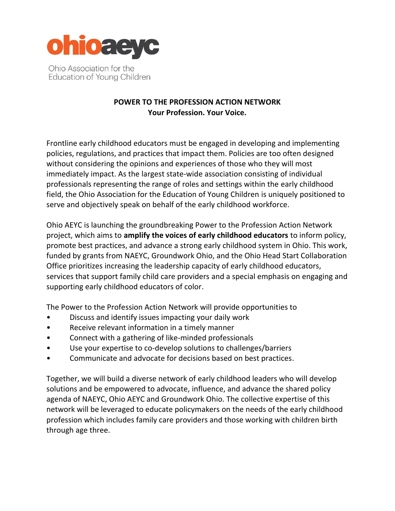

Ohio Association for the Education of Young Children

## **POWER TO THE PROFESSION ACTION NETWORK Your Profession. Your Voice.**

Frontline early childhood educators must be engaged in developing and implementing policies, regulations, and practices that impact them. Policies are too often designed without considering the opinions and experiences of those who they will most immediately impact. As the largest state-wide association consisting of individual professionals representing the range of roles and settings within the early childhood field, the Ohio Association for the Education of Young Children is uniquely positioned to serve and objectively speak on behalf of the early childhood workforce.

Ohio AEYC is launching the groundbreaking Power to the Profession Action Network project, which aims to **amplify the voices of early childhood educators** to inform policy, promote best practices, and advance a strong early childhood system in Ohio. This work, funded by grants from NAEYC, Groundwork Ohio, and the Ohio Head Start Collaboration Office prioritizes increasing the leadership capacity of early childhood educators, services that support family child care providers and a special emphasis on engaging and supporting early childhood educators of color.

The Power to the Profession Action Network will provide opportunities to

- Discuss and identify issues impacting your daily work
- Receive relevant information in a timely manner
- Connect with a gathering of like-minded professionals
- Use your expertise to co-develop solutions to challenges/barriers
- Communicate and advocate for decisions based on best practices.

Together, we will build a diverse network of early childhood leaders who will develop solutions and be empowered to advocate, influence, and advance the shared policy agenda of NAEYC, Ohio AEYC and Groundwork Ohio. The collective expertise of this network will be leveraged to educate policymakers on the needs of the early childhood profession which includes family care providers and those working with children birth through age three.